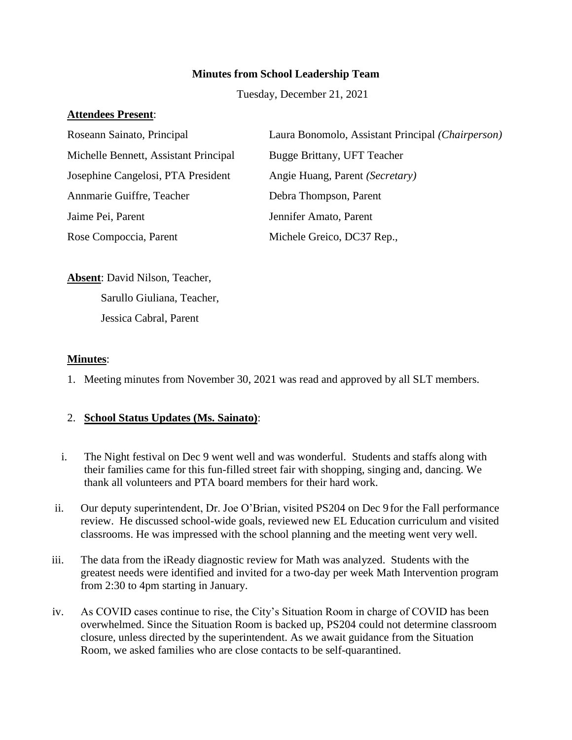## **Minutes from School Leadership Team**

Tuesday, December 21, 2021

### **Attendees Present**:

| Roseann Sainato, Principal            | Laura Bonomolo, Assistant Principal (Chairperson) |
|---------------------------------------|---------------------------------------------------|
| Michelle Bennett, Assistant Principal | Bugge Brittany, UFT Teacher                       |
| Josephine Cangelosi, PTA President    | Angie Huang, Parent (Secretary)                   |
| Annmarie Guiffre, Teacher             | Debra Thompson, Parent                            |
| Jaime Pei, Parent                     | Jennifer Amato, Parent                            |
| Rose Compoccia, Parent                | Michele Greico, DC37 Rep.,                        |

**Absent**: David Nilson, Teacher, Sarullo Giuliana, Teacher, Jessica Cabral, Parent

#### **Minutes**:

1. Meeting minutes from November 30, 2021 was read and approved by all SLT members.

### 2. **School Status Updates (Ms. Sainato)**:

- i. The Night festival on Dec 9 went well and was wonderful. Students and staffs along with their families came for this fun-filled street fair with shopping, singing and, dancing. We thank all volunteers and PTA board members for their hard work.
- ii. Our deputy superintendent, Dr. Joe O'Brian, visited PS204 on Dec 9 for the Fall performance review. He discussed school-wide goals, reviewed new EL Education curriculum and visited classrooms. He was impressed with the school planning and the meeting went very well.
- iii. The data from the iReady diagnostic review for Math was analyzed. Students with the greatest needs were identified and invited for a two-day per week Math Intervention program from 2:30 to 4pm starting in January.
- iv. As COVID cases continue to rise, the City's Situation Room in charge of COVID has been overwhelmed. Since the Situation Room is backed up, PS204 could not determine classroom closure, unless directed by the superintendent. As we await guidance from the Situation Room, we asked families who are close contacts to be self-quarantined.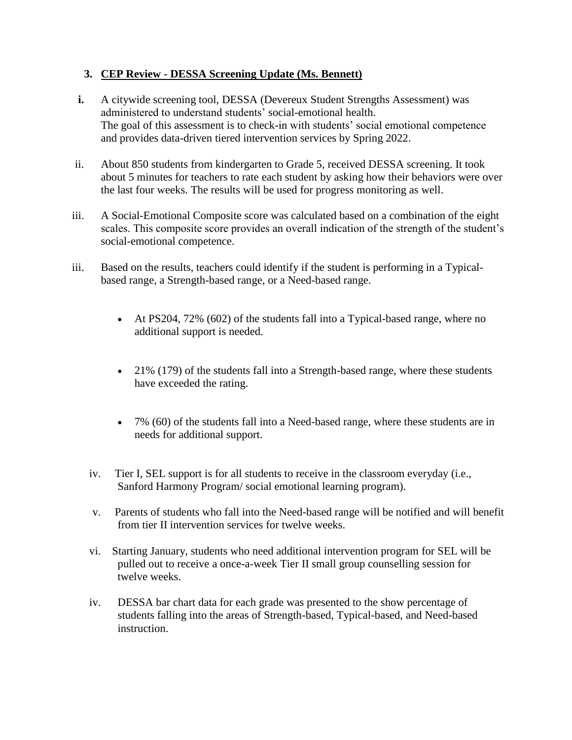# **3. CEP Review - DESSA Screening Update (Ms. Bennett)**

- **i.** A citywide screening tool, DESSA (Devereux Student Strengths Assessment) was administered to understand students' social-emotional health. The goal of this assessment is to check-in with students' social emotional competence and provides data-driven tiered intervention services by Spring 2022.
- ii. About 850 students from kindergarten to Grade 5, received DESSA screening. It took about 5 minutes for teachers to rate each student by asking how their behaviors were over the last four weeks. The results will be used for progress monitoring as well.
- iii. A Social-Emotional Composite score was calculated based on a combination of the eight scales. This composite score provides an overall indication of the strength of the student's social-emotional competence.
- iii. Based on the results, teachers could identify if the student is performing in a Typicalbased range, a Strength-based range, or a Need-based range.
	- At PS204, 72% (602) of the students fall into a Typical-based range, where no additional support is needed.
	- $\bullet$  21% (179) of the students fall into a Strength-based range, where these students have exceeded the rating.
	- 7% (60) of the students fall into a Need-based range, where these students are in needs for additional support.
	- iv. Tier I, SEL support is for all students to receive in the classroom everyday (i.e., Sanford Harmony Program/ social emotional learning program).
	- v. Parents of students who fall into the Need-based range will be notified and will benefit from tier II intervention services for twelve weeks.
	- vi. Starting January, students who need additional intervention program for SEL will be pulled out to receive a once-a-week Tier II small group counselling session for twelve weeks.
	- iv. DESSA bar chart data for each grade was presented to the show percentage of students falling into the areas of Strength-based, Typical-based, and Need-based instruction.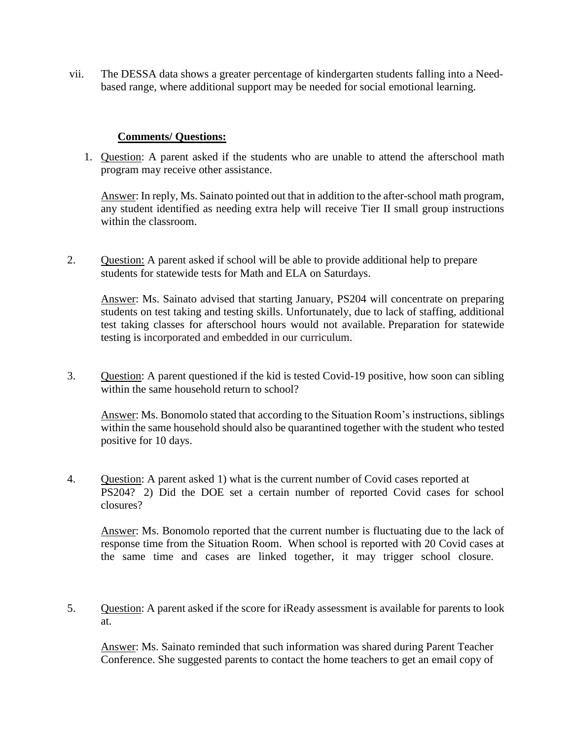vii. The DESSA data shows a greater percentage of kindergarten students falling into a Needbased range, where additional support may be needed for social emotional learning.

#### **Comments/ Questions:**

1. Question: A parent asked if the students who are unable to attend the afterschool math program may receive other assistance.

Answer: In reply, Ms. Sainato pointed out that in addition to the after-school math program, any student identified as needing extra help will receive Tier II small group instructions within the classroom.

2. Question: A parent asked if school will be able to provide additional help to prepare students for statewide tests for Math and ELA on Saturdays.

Answer: Ms. Sainato advised that starting January, PS204 will concentrate on preparing students on test taking and testing skills. Unfortunately, due to lack of staffing, additional test taking classes for afterschool hours would not available. Preparation for statewide testing is incorporated and embedded in our curriculum.

3. Question: A parent questioned if the kid is tested Covid-19 positive, how soon can sibling within the same household return to school?

Answer: Ms. Bonomolo stated that according to the Situation Room's instructions, siblings within the same household should also be quarantined together with the student who tested positive for 10 days.

4. Question: A parent asked 1) what is the current number of Covid cases reported at PS204? 2) Did the DOE set a certain number of reported Covid cases for school closures?

Answer: Ms. Bonomolo reported that the current number is fluctuating due to the lack of response time from the Situation Room. When school is reported with 20 Covid cases at the same time and cases are linked together, it may trigger school closure.

5. Question: A parent asked if the score for iReady assessment is available for parents to look at.

Answer: Ms. Sainato reminded that such information was shared during Parent Teacher Conference. She suggested parents to contact the home teachers to get an email copy of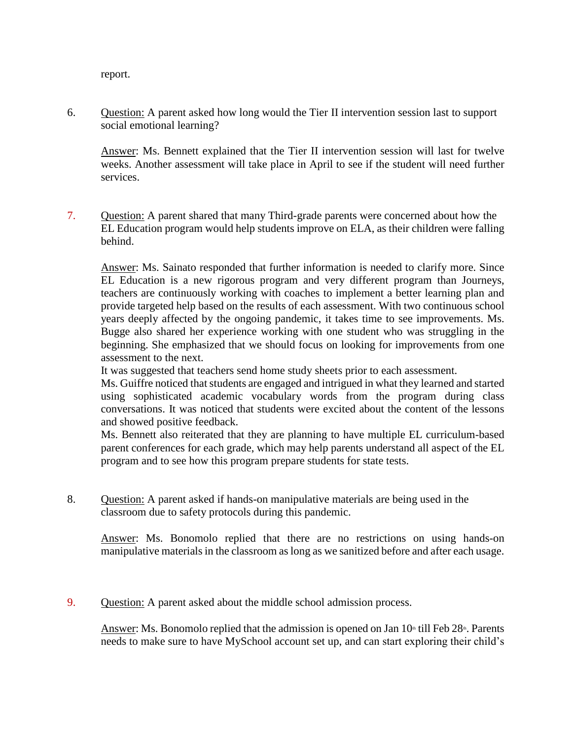report.

6. Question: A parent asked how long would the Tier II intervention session last to support social emotional learning?

Answer: Ms. Bennett explained that the Tier II intervention session will last for twelve weeks. Another assessment will take place in April to see if the student will need further services.

7. Question: A parent shared that many Third-grade parents were concerned about how the EL Education program would help students improve on ELA, as their children were falling behind.

Answer: Ms. Sainato responded that further information is needed to clarify more. Since EL Education is a new rigorous program and very different program than Journeys, teachers are continuously working with coaches to implement a better learning plan and provide targeted help based on the results of each assessment. With two continuous school years deeply affected by the ongoing pandemic, it takes time to see improvements. Ms. Bugge also shared her experience working with one student who was struggling in the beginning. She emphasized that we should focus on looking for improvements from one assessment to the next.

It was suggested that teachers send home study sheets prior to each assessment.

Ms. Guiffre noticed that students are engaged and intrigued in what they learned and started using sophisticated academic vocabulary words from the program during class conversations. It was noticed that students were excited about the content of the lessons and showed positive feedback.

Ms. Bennett also reiterated that they are planning to have multiple EL curriculum-based parent conferences for each grade, which may help parents understand all aspect of the EL program and to see how this program prepare students for state tests.

8. Question: A parent asked if hands-on manipulative materials are being used in the classroom due to safety protocols during this pandemic.

Answer: Ms. Bonomolo replied that there are no restrictions on using hands-on manipulative materials in the classroom as long as we sanitized before and after each usage.

9. Question: A parent asked about the middle school admission process.

Answer: Ms. Bonomolo replied that the admission is opened on Jan  $10<sup>th</sup>$  till Feb  $28<sup>th</sup>$ . Parents needs to make sure to have MySchool account set up, and can start exploring their child's